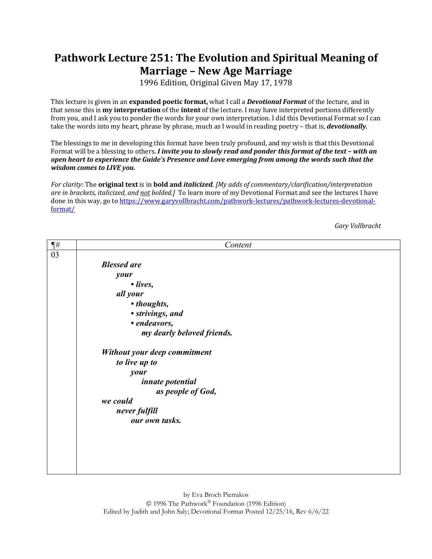## **Pathwork Lecture 251: The Evolution and Spiritual Meaning of Marriage - New Age Marriage**

1996 Edition, Original Given May 17, 1978

This lecture is given in an **expanded poetic format**, what I call a *Devotional Format* of the lecture, and in that sense this is **my interpretation** of the **intent** of the lecture. I may have interpreted portions differently from you, and I ask you to ponder the words for your own interpretation. I did this Devotional Format so I can take the words into my heart, phrase by phrase, much as I would in reading poetry – that is, *devotionally*.

The blessings to me in developing this format have been truly profound, and my wish is that this Devotional Format will be a blessing to others. *I invite you to slowly read and ponder this format of the text – with an* open heart to experience the Guide's Presence and Love emerging from among the words such that the *wisdom comes to LIVE you.* 

For clarity: The **original text** is in **bold and** *italicized*. [My adds of commentary/clarification/interpretation *are in brackets, italicized, and not bolded.]* To learn more of my Devotional Format and see the lectures I have done in this way, go to https://www.garyvollbracht.com/pathwork-lectures/pathwork-lectures-devotionalformat/

*Gary Vollbracht*

| $\P#$ | Content                      |
|-------|------------------------------|
| 03    |                              |
|       | <b>Blessed are</b>           |
|       | your                         |
|       | $\bullet$ lives,             |
|       | all your                     |
|       | • thoughts,                  |
|       | · strivings, and             |
|       | • endeavors,                 |
|       | my dearly beloved friends.   |
|       | Without your deep commitment |
|       | to live up to                |
|       | your                         |
|       | innate potential             |
|       | as people of God,            |
|       | we could                     |
|       | never fulfill                |
|       | our own tasks.               |
|       |                              |
|       |                              |
|       |                              |
|       |                              |
|       |                              |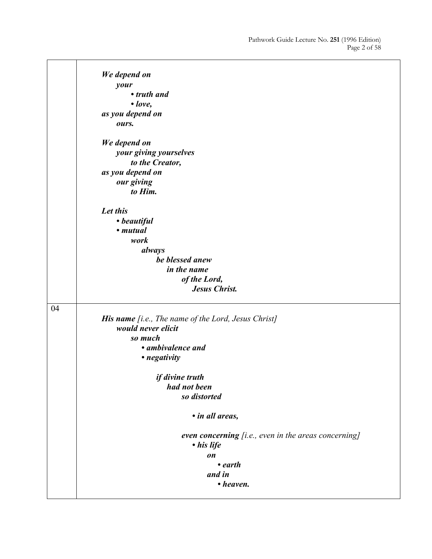|    | We depend on                                                       |
|----|--------------------------------------------------------------------|
|    | your                                                               |
|    | • truth and                                                        |
|    | $\cdot$ love,                                                      |
|    | as you depend on                                                   |
|    | ours.                                                              |
|    | We depend on                                                       |
|    | your giving yourselves                                             |
|    | to the Creator,                                                    |
|    | as you depend on                                                   |
|    | our giving                                                         |
|    | to Him.                                                            |
|    | Let this                                                           |
|    | • beautiful                                                        |
|    | • mutual                                                           |
|    | work                                                               |
|    | always                                                             |
|    | be blessed anew                                                    |
|    | in the name                                                        |
|    | of the Lord,                                                       |
|    | <b>Jesus Christ.</b>                                               |
|    |                                                                    |
| 04 |                                                                    |
|    | His name [i.e., The name of the Lord, Jesus Christ]                |
|    | would never elicit                                                 |
|    | so much                                                            |
|    | • ambivalence and                                                  |
|    | • negativity                                                       |
|    | if divine truth                                                    |
|    | had not been                                                       |
|    | so distorted                                                       |
|    |                                                                    |
|    | • in all areas,                                                    |
|    | even concerning [i.e., even in the areas concerning]<br>• his life |
|    | on                                                                 |
|    | $\cdot$ earth                                                      |
|    | and in                                                             |
|    | • heaven.                                                          |
|    |                                                                    |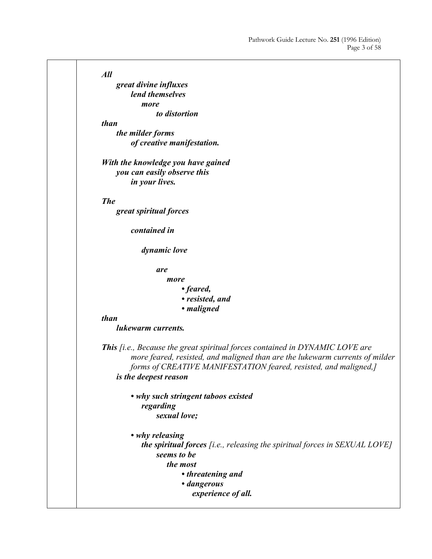$\overline{\phantom{a}}$ 

| All                                                                                 |
|-------------------------------------------------------------------------------------|
| great divine influxes                                                               |
| lend themselves                                                                     |
| more                                                                                |
| to distortion                                                                       |
| than                                                                                |
| the milder forms                                                                    |
| of creative manifestation.                                                          |
| With the knowledge you have gained                                                  |
| you can easily observe this                                                         |
| in your lives.                                                                      |
| <b>The</b>                                                                          |
| great spiritual forces                                                              |
|                                                                                     |
| contained in                                                                        |
| dynamic love                                                                        |
| are                                                                                 |
| more                                                                                |
| • feared,                                                                           |
| • resisted, and                                                                     |
| • maligned                                                                          |
| than<br>lukewarm currents.                                                          |
| <b>This</b> [i.e., Because the great spiritual forces contained in DYNAMIC LOVE are |
| more feared, resisted, and maligned than are the lukewarm currents of milder        |
| forms of CREATIVE MANIFESTATION feared, resisted, and maligned,]                    |
| is the deepest reason                                                               |
| • why such stringent taboos existed                                                 |
| regarding                                                                           |
| sexual love;                                                                        |
| • why releasing                                                                     |
| <b>the spiritual forces</b> [i.e., releasing the spiritual forces in SEXUAL LOVE]   |
| seems to be                                                                         |
| the most                                                                            |
| • threatening and                                                                   |
| · dangerous                                                                         |
| experience of all.                                                                  |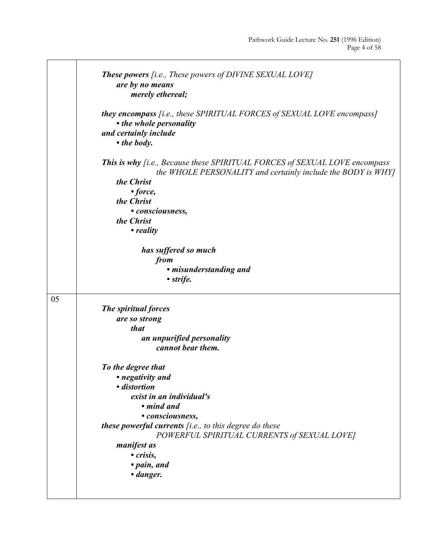$\overline{\phantom{a}}$ 

|    | <b>These powers</b> [i.e., These powers of DIVINE SEXUAL LOVE]                                                                                    |
|----|---------------------------------------------------------------------------------------------------------------------------------------------------|
|    | are by no means<br>merely ethereal;                                                                                                               |
|    |                                                                                                                                                   |
|    | <b>they encompass</b> [i.e., these SPIRITUAL FORCES of SEXUAL LOVE encompass]                                                                     |
|    | • the whole personality<br>and certainly include                                                                                                  |
|    | • the body.                                                                                                                                       |
|    |                                                                                                                                                   |
|    | <b>This is why</b> [i.e., Because these SPIRITUAL FORCES of SEXUAL LOVE encompass<br>the WHOLE PERSONALITY and certainly include the BODY is WHY] |
|    | the Christ                                                                                                                                        |
|    | • force,                                                                                                                                          |
|    | the Christ                                                                                                                                        |
|    | • consciousness,                                                                                                                                  |
|    | the Christ                                                                                                                                        |
|    | • reality                                                                                                                                         |
|    | has suffered so much                                                                                                                              |
|    | from                                                                                                                                              |
|    | • misunderstanding and                                                                                                                            |
|    | • strife.                                                                                                                                         |
| 05 |                                                                                                                                                   |
|    | The spiritual forces                                                                                                                              |
|    | are so strong                                                                                                                                     |
|    | that                                                                                                                                              |
|    | an unpurified personality                                                                                                                         |
|    | cannot bear them.                                                                                                                                 |
|    | To the degree that                                                                                                                                |
|    | • negativity and                                                                                                                                  |
|    | · distortion                                                                                                                                      |
|    | exist in an individual's                                                                                                                          |
|    | • mind and                                                                                                                                        |
|    | • consciousness,                                                                                                                                  |
|    | <b>these powerful currents</b> $[i.e., to this degree do these$                                                                                   |
|    | POWERFUL SPIRITUAL CURRENTS of SEXUAL LOVE]                                                                                                       |
|    | <i>manifest as</i>                                                                                                                                |
|    | · crisis,                                                                                                                                         |
|    | • pain, and                                                                                                                                       |
|    | • danger.                                                                                                                                         |
|    |                                                                                                                                                   |
|    |                                                                                                                                                   |

T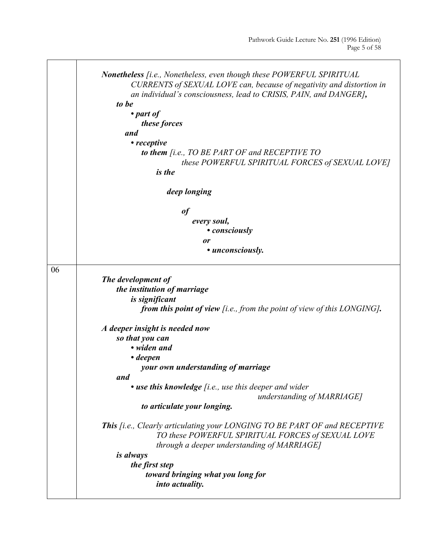|    | <b>Nonetheless</b> <i>[i.e., Nonetheless, even though these POWERFUL SPIRITUAL</i><br>CURRENTS of SEXUAL LOVE can, because of negativity and distortion in                           |
|----|--------------------------------------------------------------------------------------------------------------------------------------------------------------------------------------|
|    | an individual's consciousness, lead to CRISIS, PAIN, and DANGER],                                                                                                                    |
|    | to be                                                                                                                                                                                |
|    | $\bullet$ part of                                                                                                                                                                    |
|    | these forces                                                                                                                                                                         |
|    | and                                                                                                                                                                                  |
|    | • receptive                                                                                                                                                                          |
|    | to them [i.e., TO BE PART OF and RECEPTIVE TO                                                                                                                                        |
|    | these POWERFUL SPIRITUAL FORCES of SEXUAL LOVE]                                                                                                                                      |
|    | <i>is the</i>                                                                                                                                                                        |
|    | deep longing                                                                                                                                                                         |
|    | <b>of</b>                                                                                                                                                                            |
|    | every soul,                                                                                                                                                                          |
|    | • consciously                                                                                                                                                                        |
|    | <i>or</i>                                                                                                                                                                            |
|    | • unconsciously.                                                                                                                                                                     |
| 06 |                                                                                                                                                                                      |
|    | The development of                                                                                                                                                                   |
|    | the institution of marriage                                                                                                                                                          |
|    | is significant                                                                                                                                                                       |
|    | <b>from this point of view</b> [i.e., from the point of view of this LONGING].                                                                                                       |
|    | A deeper insight is needed now                                                                                                                                                       |
|    | so that you can                                                                                                                                                                      |
|    | • widen and                                                                                                                                                                          |
|    | $\bullet$ deepen                                                                                                                                                                     |
|    | your own understanding of marriage<br>and                                                                                                                                            |
|    | • use this knowledge [i.e., use this deeper and wider<br>understanding of MARRIAGE]                                                                                                  |
|    | to articulate your longing.                                                                                                                                                          |
|    | <b>This</b> [i.e., Clearly articulating your LONGING TO BE PART OF and RECEPTIVE<br>TO these POWERFUL SPIRITUAL FORCES of SEXUAL LOVE<br>through a deeper understanding of MARRIAGE] |
|    | <i>is always</i>                                                                                                                                                                     |
|    | the first step                                                                                                                                                                       |
|    | toward bringing what you long for<br>into actuality.                                                                                                                                 |
|    |                                                                                                                                                                                      |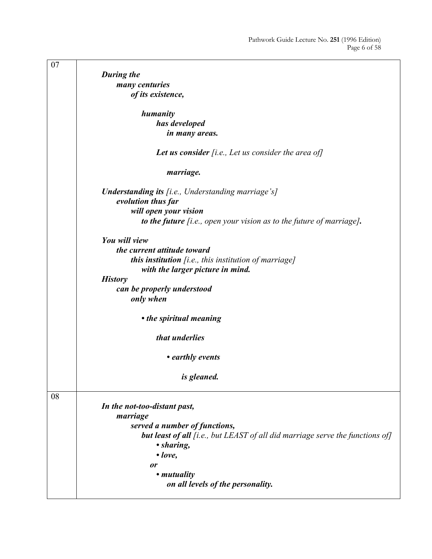| 07 |                                                                                      |
|----|--------------------------------------------------------------------------------------|
|    | During the                                                                           |
|    | many centuries                                                                       |
|    | of its existence,                                                                    |
|    |                                                                                      |
|    | humanity                                                                             |
|    | has developed                                                                        |
|    |                                                                                      |
|    | in many areas.                                                                       |
|    | Let us consider $[i.e., Let us consider the area of]$                                |
|    | marriage.                                                                            |
|    | <b>Understanding its</b> [i.e., Understanding marriage's]                            |
|    | evolution thus far                                                                   |
|    |                                                                                      |
|    | will open your vision                                                                |
|    | to the future $[i.e., open your vision as to the future of marriage].$               |
|    | You will view                                                                        |
|    |                                                                                      |
|    | the current attitude toward                                                          |
|    | this institution [i.e., this institution of marriage]                                |
|    | with the larger picture in mind.                                                     |
|    | <b>History</b>                                                                       |
|    | can be properly understood                                                           |
|    | only when                                                                            |
|    |                                                                                      |
|    | • the spiritual meaning                                                              |
|    |                                                                                      |
|    | that underlies                                                                       |
|    |                                                                                      |
|    | • earthly events                                                                     |
|    |                                                                                      |
|    | is gleaned.                                                                          |
|    |                                                                                      |
| 08 |                                                                                      |
|    | In the not-too-distant past,                                                         |
|    | marriage                                                                             |
|    | served a number of functions,                                                        |
|    | <b>but least of all</b> [i.e., but LEAST of all did marriage serve the functions of] |
|    | • sharing,                                                                           |
|    |                                                                                      |
|    | $\bullet$ love,                                                                      |
|    | or                                                                                   |
|    | • <i>mutuality</i>                                                                   |
|    | on all levels of the personality.                                                    |
|    |                                                                                      |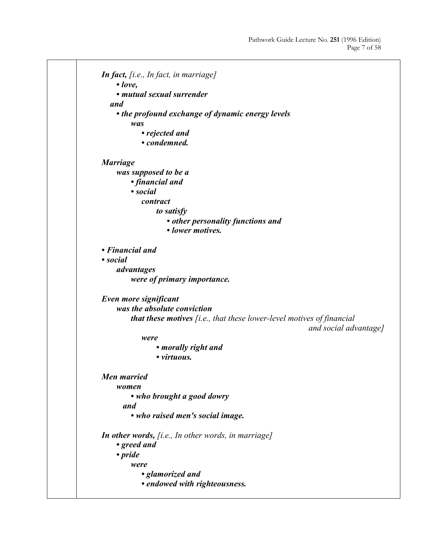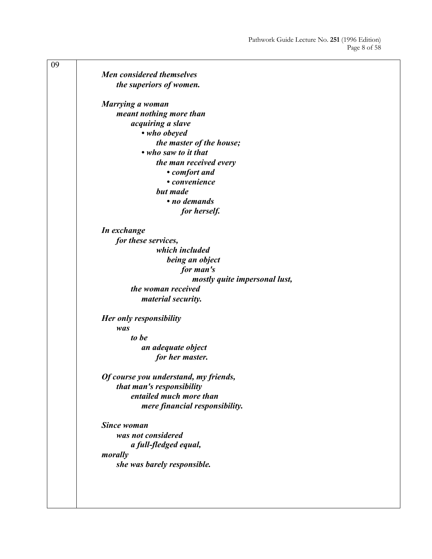| 09 |                                       |
|----|---------------------------------------|
|    | Men considered themselves             |
|    | the superiors of women.               |
|    | Marrying a woman                      |
|    | meant nothing more than               |
|    | acquiring a slave                     |
|    | • who obeyed                          |
|    | the master of the house;              |
|    | • who saw to it that                  |
|    | the man received every                |
|    | • comfort and                         |
|    | • convenience                         |
|    | but made                              |
|    | • no demands                          |
|    | for herself.                          |
|    | In exchange                           |
|    | for these services,                   |
|    | which included                        |
|    | being an object                       |
|    | for man's                             |
|    | mostly quite impersonal lust,         |
|    | the woman received                    |
|    | <i>material security.</i>             |
|    | Her only responsibility               |
|    | was                                   |
|    | to be                                 |
|    | an adequate object                    |
|    | for her master.                       |
|    | Of course you understand, my friends, |
|    | that man's responsibility             |
|    | entailed much more than               |
|    | mere financial responsibility.        |
|    | <b>Since woman</b>                    |
|    | was not considered                    |
|    | a full-fledged equal,                 |
|    | morally                               |
|    | she was barely responsible.           |
|    |                                       |
|    |                                       |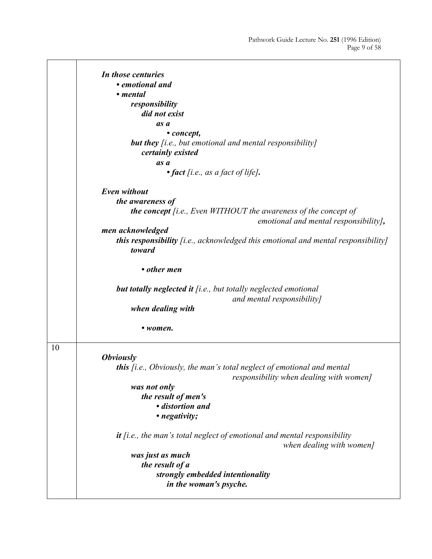|    | In those centuries                                                                                                          |
|----|-----------------------------------------------------------------------------------------------------------------------------|
|    | • emotional and                                                                                                             |
|    | • mental                                                                                                                    |
|    | responsibility                                                                                                              |
|    | did not exist                                                                                                               |
|    | as a                                                                                                                        |
|    | • concept,                                                                                                                  |
|    | <b>but they</b> [i.e., but emotional and mental responsibility]<br>certainly existed                                        |
|    | as a                                                                                                                        |
|    | $\bullet$ fact [i.e., as a fact of life].                                                                                   |
|    | Even without                                                                                                                |
|    |                                                                                                                             |
|    | the awareness of                                                                                                            |
|    | <b>the concept</b> [i.e., Even WITHOUT the awareness of the concept of<br>emotional and mental responsibility],             |
|    | men acknowledged                                                                                                            |
|    | <b>this responsibility</b> [i.e., acknowledged this emotional and mental responsibility]<br>toward                          |
|    | • other men                                                                                                                 |
|    | <b>but totally neglected it</b> $[i.e., but totally neglected emotional$<br>and mental responsibility]<br>when dealing with |
|    | • women.                                                                                                                    |
| 10 |                                                                                                                             |
|    | <i><b>Obviously</b></i>                                                                                                     |
|    | <b>this</b> [i.e., Obviously, the man's total neglect of emotional and mental<br>responsibility when dealing with women]    |
|    | was not only                                                                                                                |
|    | the result of men's                                                                                                         |
|    | · distortion and                                                                                                            |
|    | • negativity;                                                                                                               |
|    | $it$ [i.e., the man's total neglect of emotional and mental responsibility<br>when dealing with women]                      |
|    | was just as much                                                                                                            |
|    | the result of a                                                                                                             |
|    | strongly embedded intentionality                                                                                            |
|    | in the woman's psyche.                                                                                                      |
|    |                                                                                                                             |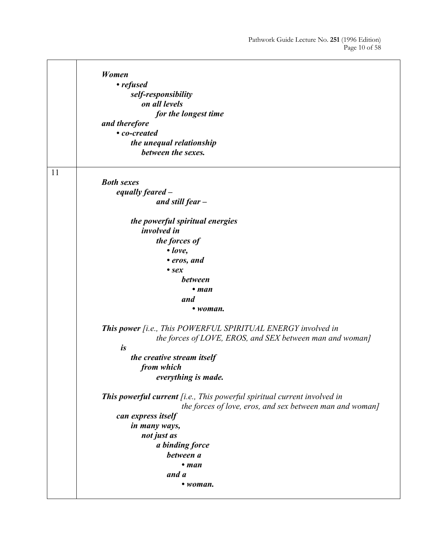$\overline{\phantom{0}}$ 

|    | Women                                                                    |
|----|--------------------------------------------------------------------------|
|    | • refused                                                                |
|    | self-responsibility                                                      |
|    | on all levels                                                            |
|    | for the longest time                                                     |
|    | and therefore                                                            |
|    | • co-created                                                             |
|    | the unequal relationship                                                 |
|    | between the sexes.                                                       |
|    |                                                                          |
| 11 |                                                                          |
|    | <b>Both sexes</b>                                                        |
|    | equally feared -                                                         |
|    | and still $fear -$                                                       |
|    | the powerful spiritual energies                                          |
|    | <i>involved in</i>                                                       |
|    | the forces of                                                            |
|    | $\bullet$ love,                                                          |
|    | • eros, and                                                              |
|    | $\bullet$ sex                                                            |
|    | <b>between</b>                                                           |
|    | $\bullet$ man                                                            |
|    | and                                                                      |
|    | • woman.                                                                 |
|    | <b>This power</b> [i.e., This POWERFUL SPIRITUAL ENERGY involved in      |
|    | the forces of LOVE, EROS, and SEX between man and woman]                 |
|    | is                                                                       |
|    | the creative stream itself                                               |
|    | from which                                                               |
|    | everything is made.                                                      |
|    | This powerful current [i.e., This powerful spiritual current involved in |
|    | the forces of love, eros, and sex between man and woman]                 |
|    | can express itself                                                       |
|    | in many ways,                                                            |
|    | not just as                                                              |
|    | a binding force                                                          |
|    | between a                                                                |
|    | $•$ man                                                                  |
|    | and a                                                                    |
|    | • woman.                                                                 |
|    |                                                                          |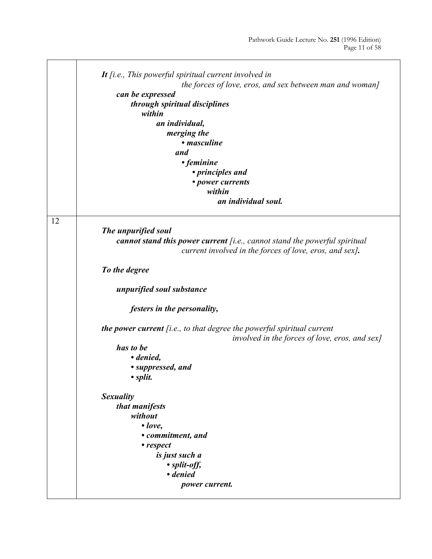|    | It $[i.e., This powerful spiritual current involved in$                         |
|----|---------------------------------------------------------------------------------|
|    | the forces of love, eros, and sex between man and woman]                        |
|    | can be expressed                                                                |
|    | through spiritual disciplines<br>within                                         |
|    |                                                                                 |
|    | an individual,                                                                  |
|    | merging the<br>• <i>masculine</i>                                               |
|    |                                                                                 |
|    | and                                                                             |
|    | • feminine                                                                      |
|    | • principles and                                                                |
|    | • power currents<br>within                                                      |
|    | an individual soul.                                                             |
|    |                                                                                 |
| 12 |                                                                                 |
|    | The unpurified soul                                                             |
|    | cannot stand this power current $[i.e., cannot stand the powerful spiritual]$   |
|    | current involved in the forces of love, eros, and sex].                         |
|    |                                                                                 |
|    | To the degree                                                                   |
|    |                                                                                 |
|    | unpurified soul substance                                                       |
|    |                                                                                 |
|    | <i>festers in the personality,</i>                                              |
|    |                                                                                 |
|    | <b>the power current</b> $[i.e., to that degree the powerful spiritual current$ |
|    | involved in the forces of love, eros, and sex]                                  |
|    | has to be                                                                       |
|    | • denied,                                                                       |
|    | • suppressed, and                                                               |
|    | $\bullet$ split.                                                                |
|    |                                                                                 |
|    | Sexuality                                                                       |
|    | that manifests                                                                  |
|    | without                                                                         |
|    | $\bullet$ love,                                                                 |
|    | • commitment, and                                                               |
|    | • respect                                                                       |
|    | is just such a                                                                  |
|    | • split-off,                                                                    |
|    | • denied                                                                        |
|    | power current.                                                                  |
|    |                                                                                 |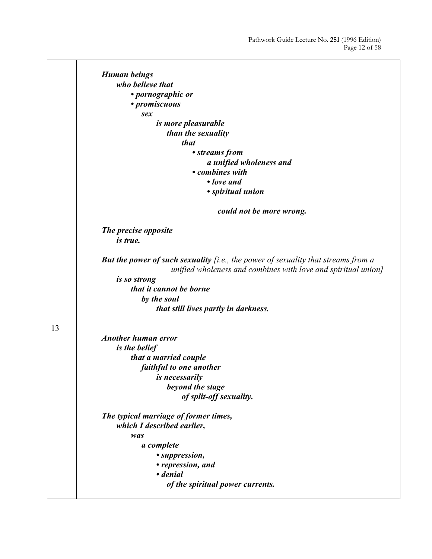$\overline{\phantom{a}}$ 

|    | <b>Human beings</b>                                                                                                                                |
|----|----------------------------------------------------------------------------------------------------------------------------------------------------|
|    |                                                                                                                                                    |
|    | who believe that                                                                                                                                   |
|    | • pornographic or                                                                                                                                  |
|    | • promiscuous                                                                                                                                      |
|    | sex                                                                                                                                                |
|    | <i>is more pleasurable</i>                                                                                                                         |
|    | than the sexuality                                                                                                                                 |
|    | <i>that</i>                                                                                                                                        |
|    | • streams from                                                                                                                                     |
|    | a unified wholeness and                                                                                                                            |
|    | • combines with                                                                                                                                    |
|    | • love and                                                                                                                                         |
|    | · spiritual union                                                                                                                                  |
|    | could not be more wrong.                                                                                                                           |
|    | The precise opposite                                                                                                                               |
|    | is true.                                                                                                                                           |
|    | But the power of such sexuality [i.e., the power of sexuality that streams from a<br>unified wholeness and combines with love and spiritual union] |
|    | is so strong                                                                                                                                       |
|    | that it cannot be borne                                                                                                                            |
|    | by the soul                                                                                                                                        |
|    | that still lives partly in darkness.                                                                                                               |
| 13 |                                                                                                                                                    |
|    | <b>Another human error</b>                                                                                                                         |
|    | <i>is the belief</i>                                                                                                                               |
|    | that a married couple                                                                                                                              |
|    |                                                                                                                                                    |
|    | faithful to one another                                                                                                                            |
|    | is necessarily                                                                                                                                     |
|    | beyond the stage                                                                                                                                   |
|    | of split-off sexuality.                                                                                                                            |
|    | The typical marriage of former times,                                                                                                              |
|    | which I described earlier,                                                                                                                         |
|    | was                                                                                                                                                |
|    | a complete                                                                                                                                         |
|    | • suppression,                                                                                                                                     |
|    | • repression, and                                                                                                                                  |
|    | • denial                                                                                                                                           |
|    | of the spiritual power currents.                                                                                                                   |
|    |                                                                                                                                                    |

**r** 

 $\mathbf{r}$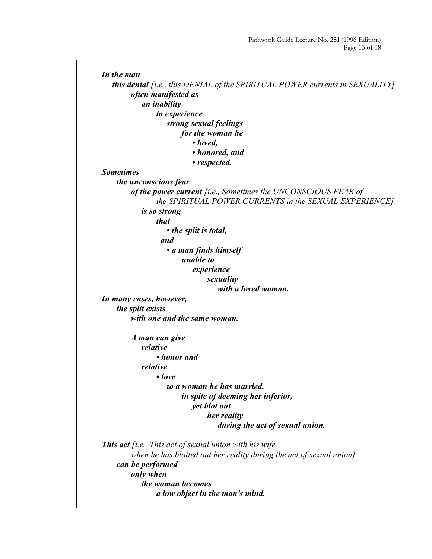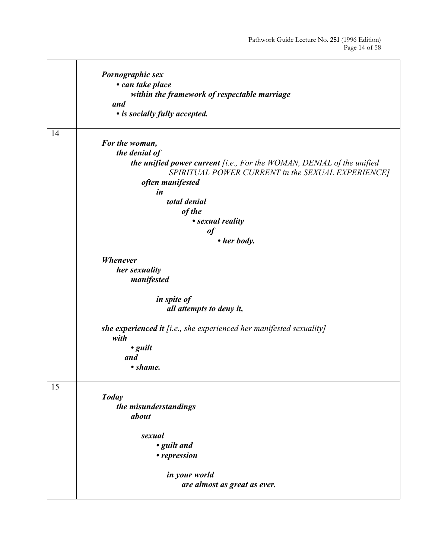|    | Pornographic sex<br>• can take place<br>within the framework of respectable marriage<br>and                                                                   |
|----|---------------------------------------------------------------------------------------------------------------------------------------------------------------|
|    | • is socially fully accepted.                                                                                                                                 |
| 14 | For the woman,<br>the denial of<br>the unified power current [i.e., For the WOMAN, DENIAL of the unified<br>SPIRITUAL POWER CURRENT in the SEXUAL EXPERIENCE] |
|    | often manifested<br>in<br>total denial<br>of the<br>• sexual reality                                                                                          |
|    | of                                                                                                                                                            |
|    | • her body.                                                                                                                                                   |
|    | <b>Whenever</b><br>her sexuality<br>manifested                                                                                                                |
|    | in spite of<br>all attempts to deny it,                                                                                                                       |
|    | she experienced it $[i.e., she$ experienced her manifested sexuality]<br>with<br>$\cdot$ guilt<br>and<br>• shame.                                             |
| 15 | <b>Today</b><br>the misunderstandings<br>about                                                                                                                |
|    | sexual<br>• guilt and<br>• repression                                                                                                                         |
|    | in your world<br>are almost as great as ever.                                                                                                                 |

j.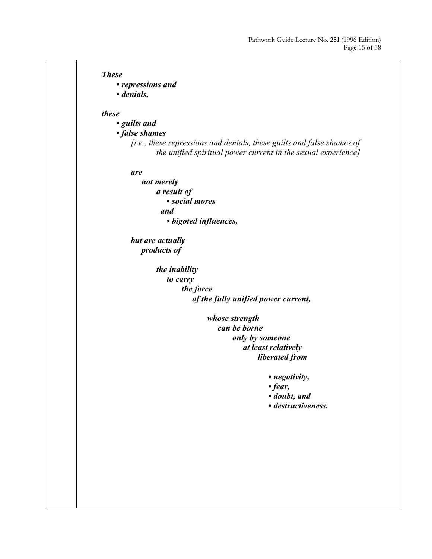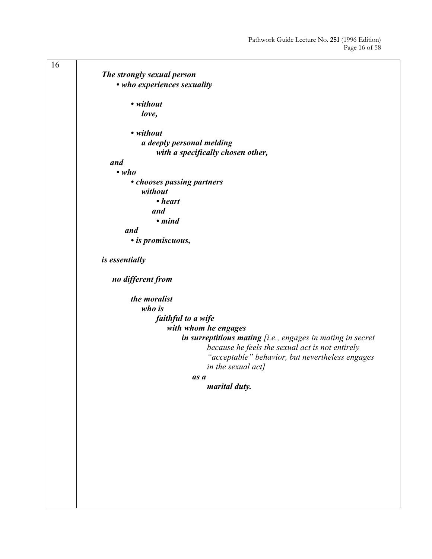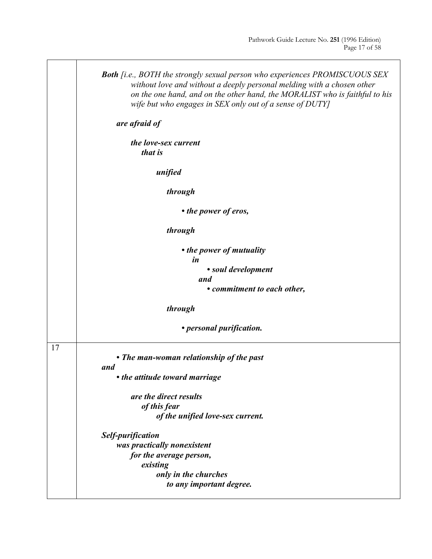|    | <b>Both</b> [i.e., BOTH the strongly sexual person who experiences PROMISCUOUS SEX<br>without love and without a deeply personal melding with a chosen other<br>on the one hand, and on the other hand, the MORALIST who is faithful to his<br>wife but who engages in SEX only out of a sense of DUTY] |
|----|---------------------------------------------------------------------------------------------------------------------------------------------------------------------------------------------------------------------------------------------------------------------------------------------------------|
|    | are afraid of                                                                                                                                                                                                                                                                                           |
|    | the love-sex current<br>that is                                                                                                                                                                                                                                                                         |
|    | unified                                                                                                                                                                                                                                                                                                 |
|    | through                                                                                                                                                                                                                                                                                                 |
|    | • the power of eros,                                                                                                                                                                                                                                                                                    |
|    | through                                                                                                                                                                                                                                                                                                 |
|    | • the power of mutuality<br>in                                                                                                                                                                                                                                                                          |
|    | • soul development<br>and                                                                                                                                                                                                                                                                               |
|    | • commitment to each other,                                                                                                                                                                                                                                                                             |
|    | through                                                                                                                                                                                                                                                                                                 |
|    | • personal purification.                                                                                                                                                                                                                                                                                |
| 17 | • The man-woman relationship of the past<br>and                                                                                                                                                                                                                                                         |
|    | • the attitude toward marriage                                                                                                                                                                                                                                                                          |
|    | are the direct results                                                                                                                                                                                                                                                                                  |
|    | of this fear                                                                                                                                                                                                                                                                                            |
|    | of the unified love-sex current.                                                                                                                                                                                                                                                                        |
|    | <b>Self-purification</b>                                                                                                                                                                                                                                                                                |
|    | was practically nonexistent                                                                                                                                                                                                                                                                             |
|    | for the average person,                                                                                                                                                                                                                                                                                 |
|    | existing                                                                                                                                                                                                                                                                                                |
|    | only in the churches                                                                                                                                                                                                                                                                                    |
|    | to any important degree.                                                                                                                                                                                                                                                                                |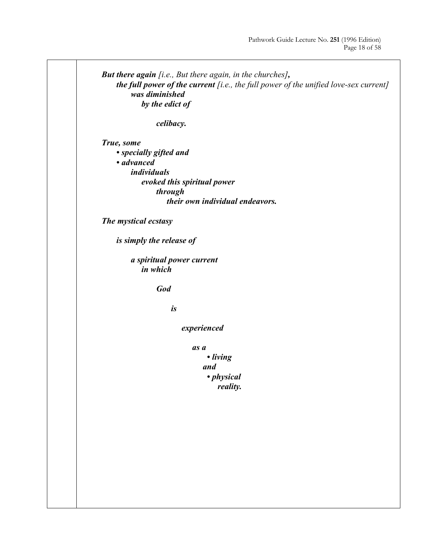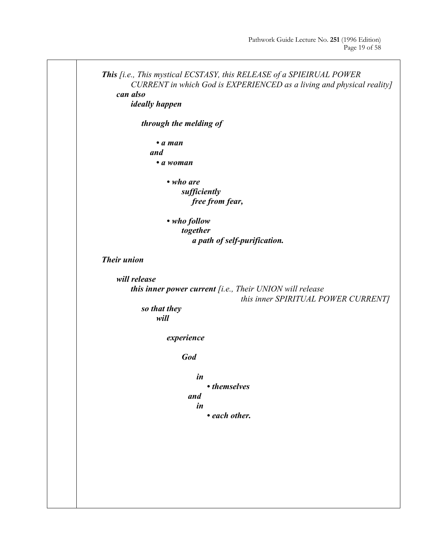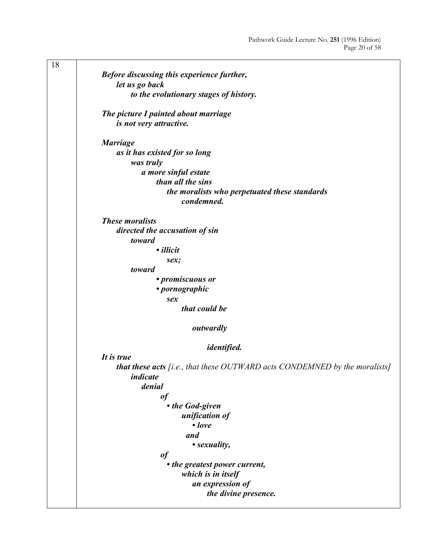| 18 |                                                                                   |
|----|-----------------------------------------------------------------------------------|
|    | Before discussing this experience further,                                        |
|    | let us go back                                                                    |
|    | to the evolutionary stages of history.                                            |
|    |                                                                                   |
|    | The picture I painted about marriage                                              |
|    | is not very attractive.                                                           |
|    | <b>Marriage</b>                                                                   |
|    | as it has existed for so long                                                     |
|    | was truly                                                                         |
|    | a more sinful estate                                                              |
|    | than all the sins                                                                 |
|    | the moralists who perpetuated these standards                                     |
|    | condemned.                                                                        |
|    |                                                                                   |
|    | <b>These moralists</b>                                                            |
|    | directed the accusation of sin                                                    |
|    | toward                                                                            |
|    | · illicit                                                                         |
|    | sex;                                                                              |
|    | toward                                                                            |
|    | • promiscuous or                                                                  |
|    | • pornographic                                                                    |
|    | sex                                                                               |
|    | that could be                                                                     |
|    |                                                                                   |
|    | outwardly                                                                         |
|    | <i>identified.</i>                                                                |
|    | It is true                                                                        |
|    | <b>that these acts</b> [i.e., that these OUTWARD acts CONDEMNED by the moralists] |
|    | <i>indicate</i>                                                                   |
|    | denial                                                                            |
|    | of                                                                                |
|    | • the God-given                                                                   |
|    | unification of                                                                    |
|    | $\bullet$ love                                                                    |
|    |                                                                                   |
|    | and                                                                               |
|    | • sexuality,                                                                      |
|    | $\it of$                                                                          |
|    | • the greatest power current,                                                     |
|    | which is in itself                                                                |
|    | an expression of                                                                  |
|    | the divine presence.                                                              |
|    |                                                                                   |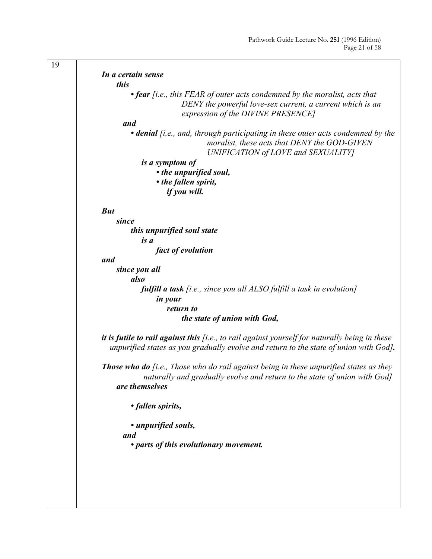| 19 |                                                                                                                                                                                                |
|----|------------------------------------------------------------------------------------------------------------------------------------------------------------------------------------------------|
|    | In a certain sense                                                                                                                                                                             |
|    | this                                                                                                                                                                                           |
|    | $\bullet$ fear [i.e., this FEAR of outer acts condemned by the moralist, acts that<br>DENY the powerful love-sex current, a current which is an<br>expression of the DIVINE PRESENCE]          |
|    | and                                                                                                                                                                                            |
|    | • denial [i.e., and, through participating in these outer acts condemned by the<br>moralist, these acts that DENY the GOD-GIVEN<br>UNIFICATION of LOVE and SEXUALITY]                          |
|    | is a symptom of                                                                                                                                                                                |
|    | • the unpurified soul,                                                                                                                                                                         |
|    | • the fallen spirit,                                                                                                                                                                           |
|    | if you will.                                                                                                                                                                                   |
|    |                                                                                                                                                                                                |
|    | <b>But</b>                                                                                                                                                                                     |
|    | since                                                                                                                                                                                          |
|    | this unpurified soul state                                                                                                                                                                     |
|    | is a                                                                                                                                                                                           |
|    | fact of evolution                                                                                                                                                                              |
|    | and                                                                                                                                                                                            |
|    | since you all                                                                                                                                                                                  |
|    | also                                                                                                                                                                                           |
|    | <b>fulfill a task</b> [i.e., since you all ALSO fulfill a task in evolution]<br><i>in your</i>                                                                                                 |
|    | return to                                                                                                                                                                                      |
|    | the state of union with God,                                                                                                                                                                   |
|    |                                                                                                                                                                                                |
|    | it is futile to rail against this $[i.e., to rail against yourself for naturally being in these$<br>unpurified states as you gradually evolve and return to the state of union with God].      |
|    | <b>Those who do</b> $[i.e., Those who do rail against being in these unpurified states as they$<br>naturally and gradually evolve and return to the state of union with God]<br>are themselves |
|    | • fallen spirits,                                                                                                                                                                              |
|    | • unpurified souls,<br>and                                                                                                                                                                     |
|    | • parts of this evolutionary movement.                                                                                                                                                         |
|    |                                                                                                                                                                                                |
|    |                                                                                                                                                                                                |
|    |                                                                                                                                                                                                |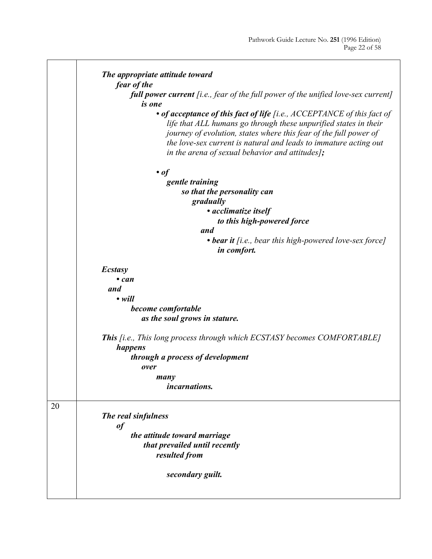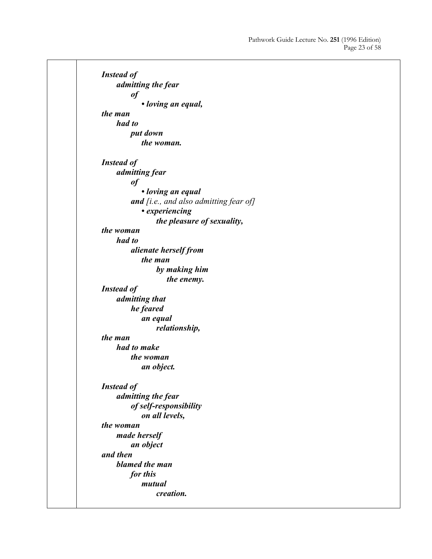*Instead of admitting the fear of • loving an equal, the man had to put down the woman. Instead of admitting fear of • loving an equal and [i.e., and also admitting fear of] • experiencing the pleasure of sexuality, the woman had to alienate herself from the man by making him the enemy. Instead of admitting that he feared an equal relationship, the man had to make the woman an object. Instead of admitting the fear of self-responsibility on all levels, the woman made herself an object and then blamed the man for this mutual creation.*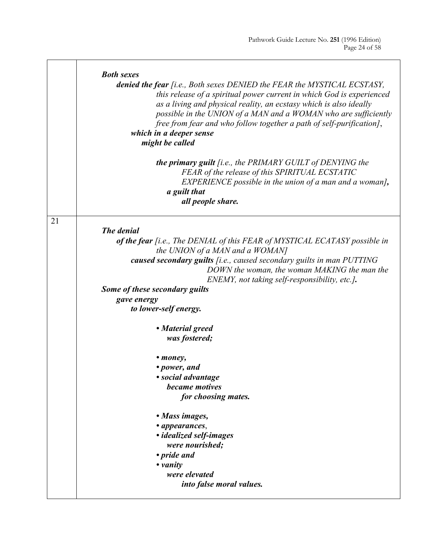|    | <b>Both sexes</b>                                                                                                                                                                                                                                                                                                                                                                                               |
|----|-----------------------------------------------------------------------------------------------------------------------------------------------------------------------------------------------------------------------------------------------------------------------------------------------------------------------------------------------------------------------------------------------------------------|
|    | denied the fear [i.e., Both sexes DENIED the FEAR the MYSTICAL ECSTASY,<br>this release of a spiritual power current in which God is experienced<br>as a living and physical reality, an ecstasy which is also ideally<br>possible in the UNION of a MAN and a WOMAN who are sufficiently<br>free from fear and who follow together a path of self-purification],<br>which in a deeper sense<br>might be called |
|    | <b>the primary guilt</b> [i.e., the PRIMARY GUILT of DENYING the<br>FEAR of the release of this SPIRITUAL ECSTATIC<br>EXPERIENCE possible in the union of a man and a woman],<br>a guilt that<br>all people share.                                                                                                                                                                                              |
| 21 |                                                                                                                                                                                                                                                                                                                                                                                                                 |
|    | The denial<br>of the fear [i.e., The DENIAL of this FEAR of MYSTICAL ECATASY possible in<br>the UNION of a MAN and a WOMAN]                                                                                                                                                                                                                                                                                     |
|    | caused secondary guilts [i.e., caused secondary guilts in man PUTTING<br>DOWN the woman, the woman MAKING the man the<br>ENEMY, not taking self-responsibility, etc.].                                                                                                                                                                                                                                          |
|    | Some of these secondary guilts                                                                                                                                                                                                                                                                                                                                                                                  |
|    | gave energy                                                                                                                                                                                                                                                                                                                                                                                                     |
|    | to lower-self energy.                                                                                                                                                                                                                                                                                                                                                                                           |
|    | • Material greed                                                                                                                                                                                                                                                                                                                                                                                                |
|    | was fostered;                                                                                                                                                                                                                                                                                                                                                                                                   |
|    | • <i>money</i> ,                                                                                                                                                                                                                                                                                                                                                                                                |
|    | • power, and                                                                                                                                                                                                                                                                                                                                                                                                    |
|    | • social advantage                                                                                                                                                                                                                                                                                                                                                                                              |
|    | became motives<br>for choosing mates.                                                                                                                                                                                                                                                                                                                                                                           |
|    |                                                                                                                                                                                                                                                                                                                                                                                                                 |
|    | • Mass images,                                                                                                                                                                                                                                                                                                                                                                                                  |
|    | • appearances,                                                                                                                                                                                                                                                                                                                                                                                                  |
|    | · idealized self-images<br>were nourished;                                                                                                                                                                                                                                                                                                                                                                      |
|    | • pride and                                                                                                                                                                                                                                                                                                                                                                                                     |
|    | $\bullet$ vanity                                                                                                                                                                                                                                                                                                                                                                                                |
|    | were elevated                                                                                                                                                                                                                                                                                                                                                                                                   |
|    | into false moral values.                                                                                                                                                                                                                                                                                                                                                                                        |
|    |                                                                                                                                                                                                                                                                                                                                                                                                                 |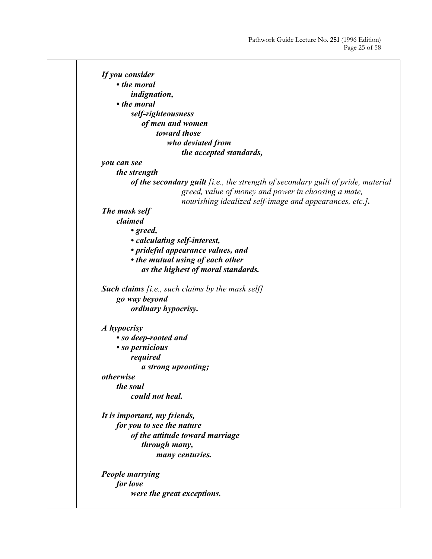*If you consider • the moral indignation, • the moral self-righteousness of men and women toward those who deviated from the accepted standards, you can see the strength of the secondary guilt [i.e., the strength of secondary guilt of pride, material greed, value of money and power in choosing a mate, nourishing idealized self-image and appearances, etc.]. The mask self claimed • greed, • calculating self-interest, • prideful appearance values, and • the mutual using of each other as the highest of moral standards. Such claims [i.e., such claims by the mask self] go way beyond ordinary hypocrisy. A hypocrisy • so deep-rooted and • so pernicious required a strong uprooting; otherwise the soul could not heal. It is important, my friends, for you to see the nature of the attitude toward marriage through many, many centuries. People marrying for love were the great exceptions.*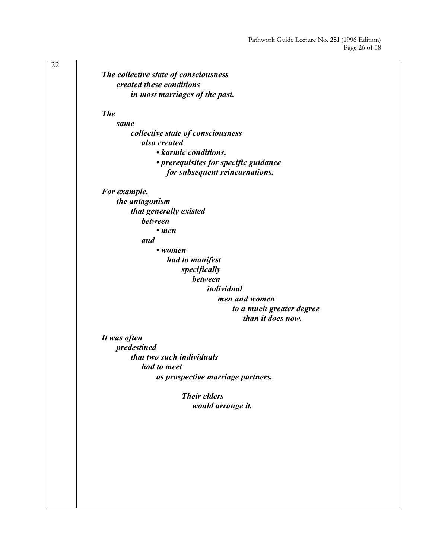| 22 |                                          |
|----|------------------------------------------|
|    | The collective state of consciousness    |
|    | created these conditions                 |
|    | in most marriages of the past.           |
|    |                                          |
|    | <b>The</b>                               |
|    | same                                     |
|    | collective state of consciousness        |
|    | also created                             |
|    | • karmic conditions,                     |
|    |                                          |
|    | • prerequisites for specific guidance    |
|    | for subsequent reincarnations.           |
|    | For example,                             |
|    | the antagonism                           |
|    |                                          |
|    | that generally existed<br><b>between</b> |
|    |                                          |
|    | $\bullet$ men                            |
|    | and                                      |
|    | $\bullet$ women                          |
|    | had to manifest                          |
|    | specifically                             |
|    | between                                  |
|    | individual                               |
|    | men and women                            |
|    | to a much greater degree                 |
|    | than it does now.                        |
|    |                                          |
|    | It was often                             |
|    | predestined                              |
|    | that two such individuals                |
|    | had to meet                              |
|    | as prospective marriage partners.        |
|    |                                          |
|    | <b>Their elders</b>                      |
|    | would arrange it.                        |
|    |                                          |
|    |                                          |
|    |                                          |
|    |                                          |
|    |                                          |
|    |                                          |
|    |                                          |
|    |                                          |
|    |                                          |
|    |                                          |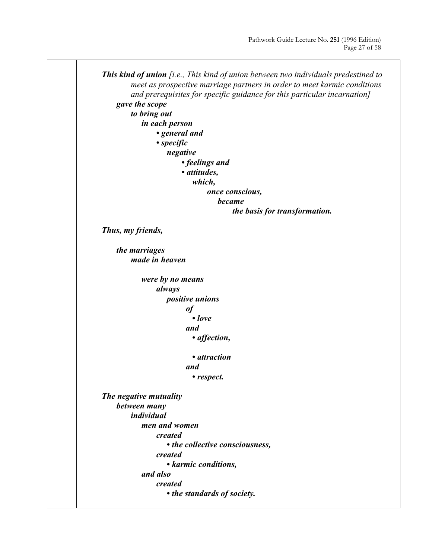![](_page_26_Figure_1.jpeg)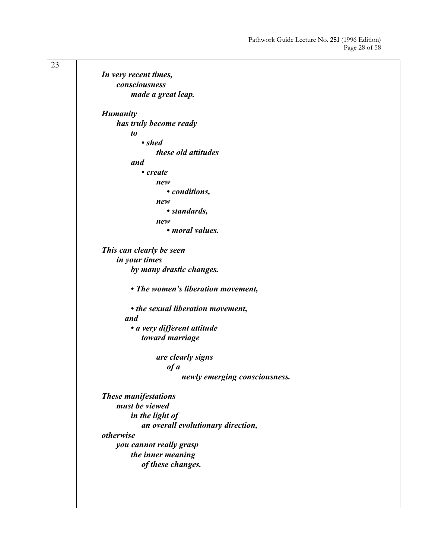23 *In very recent times, consciousness made a great leap. Humanity has truly become ready to • shed these old attitudes and • create new • conditions, new • standards, new • moral values. This can clearly be seen in your times by many drastic changes. • The women's liberation movement, • the sexual liberation movement, and • a very different attitude toward marriage are clearly signs of a newly emerging consciousness. These manifestations must be viewed in the light of an overall evolutionary direction, otherwise you cannot really grasp the inner meaning of these changes.*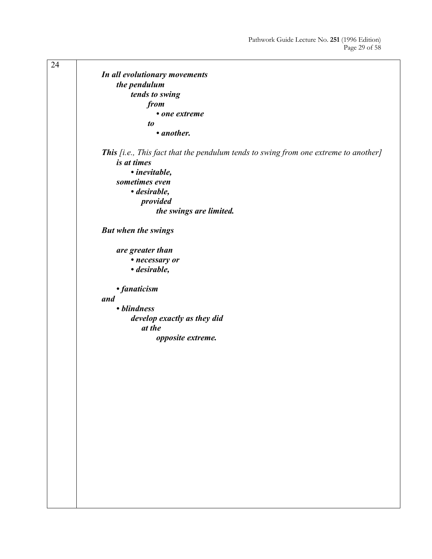24 *In all evolutionary movements the pendulum tends to swing from • one extreme to • another. This [i.e., This fact that the pendulum tends to swing from one extreme to another] is at times • inevitable, sometimes even • desirable, provided the swings are limited. But when the swings are greater than • necessary or • desirable, • fanaticism and • blindness develop exactly as they did at the opposite extreme.*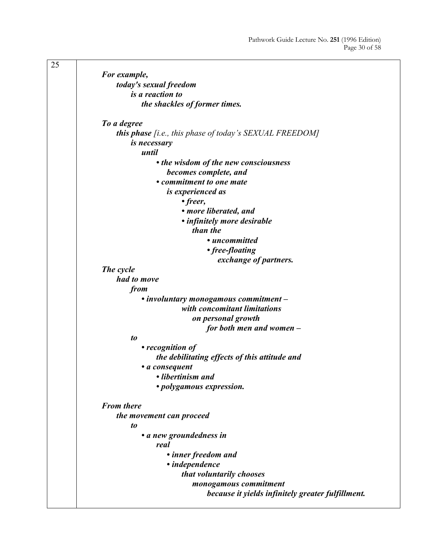| 25 |                                                                |
|----|----------------------------------------------------------------|
|    | For example,                                                   |
|    | today's sexual freedom                                         |
|    | is a reaction to                                               |
|    | the shackles of former times.                                  |
|    |                                                                |
|    | To a degree                                                    |
|    | <b>this phase</b> [i.e., this phase of today's SEXUAL FREEDOM] |
|    | <i>is necessary</i>                                            |
|    | until                                                          |
|    | • the wisdom of the new consciousness                          |
|    | becomes complete, and                                          |
|    | • commitment to one mate                                       |
|    | is experienced as                                              |
|    | • freer,                                                       |
|    | • more liberated, and                                          |
|    | • infinitely more desirable                                    |
|    | than the                                                       |
|    | • uncommitted                                                  |
|    | • free-floating                                                |
|    | exchange of partners.                                          |
|    | The cycle                                                      |
|    | had to move                                                    |
|    | from                                                           |
|    | • involuntary monogamous commitment -                          |
|    | with concomitant limitations                                   |
|    | on personal growth                                             |
|    | for both men and women -                                       |
|    | to                                                             |
|    | • recognition of                                               |
|    | the debilitating effects of this attitude and                  |
|    | · a consequent                                                 |
|    | • libertinism and                                              |
|    | · polygamous expression.                                       |
|    | <b>From there</b>                                              |
|    | the movement can proceed                                       |
|    | to                                                             |
|    | • a new groundedness in                                        |
|    | real                                                           |
|    | • inner freedom and                                            |
|    | • independence                                                 |
|    | that voluntarily chooses                                       |
|    | monogamous commitment                                          |
|    | because it yields infinitely greater fulfillment.              |
|    |                                                                |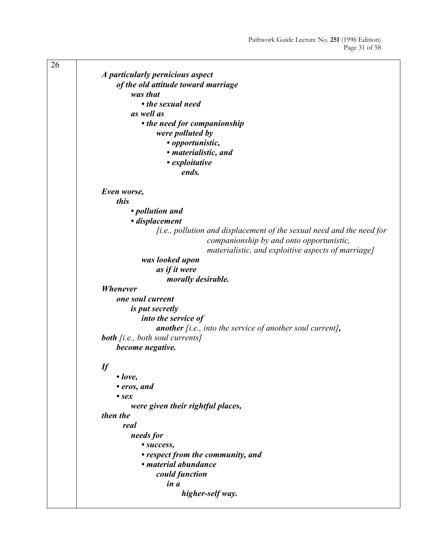| 26 |                                                                              |
|----|------------------------------------------------------------------------------|
|    | A particularly pernicious aspect                                             |
|    | of the old attitude toward marriage                                          |
|    | was that                                                                     |
|    | • the sexual need                                                            |
|    | as well as                                                                   |
|    | • the need for companionship                                                 |
|    | were polluted by                                                             |
|    | • opportunistic,                                                             |
|    | • materialistic, and                                                         |
|    | • exploitative                                                               |
|    | ends.                                                                        |
|    |                                                                              |
|    | Even worse,                                                                  |
|    | this                                                                         |
|    | • pollution and                                                              |
|    | · displacement                                                               |
|    | <i>[i.e., pollution and displacement of the sexual need and the need for</i> |
|    | companionship by and onto opportunistic,                                     |
|    | materialistic, and exploitive aspects of marriage]                           |
|    | was looked upon                                                              |
|    | as if it were                                                                |
|    | morally desirable.                                                           |
|    | <b>Whenever</b>                                                              |
|    | one soul current                                                             |
|    | <i>is put secretly</i>                                                       |
|    | into the service of                                                          |
|    | <b>another</b> [i.e., into the service of another soul current],             |
|    | <b>both</b> [i.e., both soul currents]                                       |
|    | become negative.                                                             |
|    |                                                                              |
|    | $\iint$                                                                      |
|    | $\cdot$ love,                                                                |
|    | • eros, and                                                                  |
|    | $\bullet$ sex                                                                |
|    | were given their rightful places,<br>then the                                |
|    | real                                                                         |
|    | needs for                                                                    |
|    |                                                                              |
|    | • success,                                                                   |
|    | • respect from the community, and<br>• material abundance                    |
|    | could function                                                               |
|    | in a                                                                         |
|    | higher-self way.                                                             |
|    |                                                                              |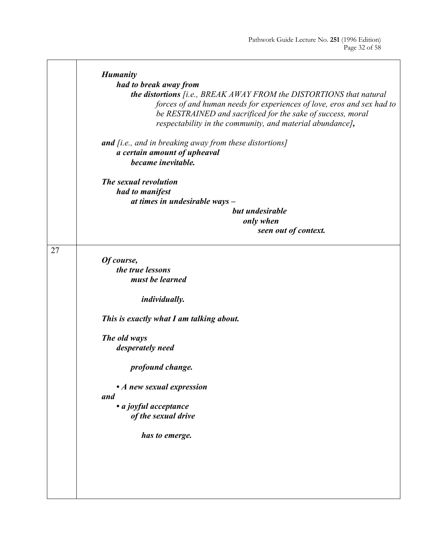|    | <b>Humanity</b>                                                            |
|----|----------------------------------------------------------------------------|
|    | had to break away from                                                     |
|    | <b>the distortions</b> [i.e., BREAK AWAY FROM the DISTORTIONS that natural |
|    | forces of and human needs for experiences of love, eros and sex had to     |
|    | be RESTRAINED and sacrificed for the sake of success, moral                |
|    | respectability in the community, and material abundance],                  |
|    |                                                                            |
|    | <b>and</b> [i.e., and in breaking away from these distortions]             |
|    | a certain amount of upheaval                                               |
|    | became inevitable.                                                         |
|    |                                                                            |
|    | The sexual revolution                                                      |
|    | had to manifest                                                            |
|    | at times in undesirable ways $-$                                           |
|    | but undesirable                                                            |
|    | only when                                                                  |
|    | seen out of context.                                                       |
|    |                                                                            |
| 27 |                                                                            |
|    | Of course,                                                                 |
|    | the true lessons                                                           |
|    | must be learned                                                            |
|    |                                                                            |
|    | individually.                                                              |
|    |                                                                            |
|    | This is exactly what I am talking about.                                   |
|    |                                                                            |
|    | The old ways                                                               |
|    | desperately need                                                           |
|    |                                                                            |
|    | profound change.                                                           |
|    |                                                                            |
|    | • A new sexual expression                                                  |
|    | and                                                                        |
|    | · a joyful acceptance                                                      |
|    | of the sexual drive                                                        |
|    |                                                                            |
|    | has to emerge.                                                             |
|    |                                                                            |
|    |                                                                            |
|    |                                                                            |
|    |                                                                            |
|    |                                                                            |
|    |                                                                            |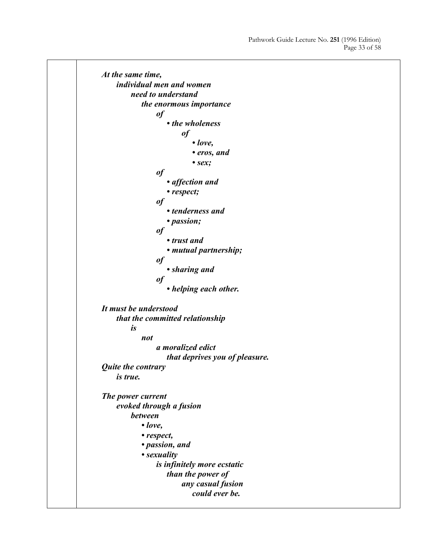*At the same time, individual men and women need to understand the enormous importance of • the wholeness of • love, • eros, and • sex; of • affection and • respect; of • tenderness and • passion; of • trust and • mutual partnership; of • sharing and of • helping each other. It must be understood that the committed relationship is not a moralized edict that deprives you of pleasure. Quite the contrary is true. The power current evoked through a fusion between • love, • respect, • passion, and • sexuality is infinitely more ecstatic than the power of any casual fusion could ever be.*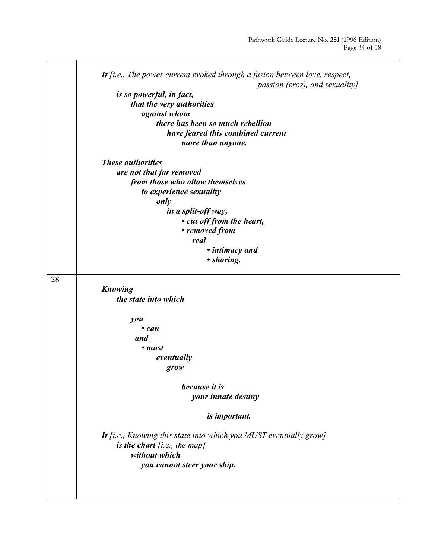|    | It $(i.e., The power current evoked through a fusion between love, respect,$ |
|----|------------------------------------------------------------------------------|
|    | passion (eros), and sexuality]                                               |
|    | is so powerful, in fact,                                                     |
|    | that the very authorities                                                    |
|    | against whom                                                                 |
|    | there has been so much rebellion                                             |
|    | have feared this combined current                                            |
|    | more than anyone.                                                            |
|    | <b>These authorities</b>                                                     |
|    | are not that far removed                                                     |
|    | from those who allow themselves                                              |
|    | to experience sexuality                                                      |
|    | only                                                                         |
|    | in a split-off way,                                                          |
|    | • cut off from the heart,                                                    |
|    | • removed from                                                               |
|    | real                                                                         |
|    |                                                                              |
|    | • intimacy and<br>• sharing.                                                 |
|    |                                                                              |
| 28 |                                                                              |
|    | Knowing                                                                      |
|    | the state into which                                                         |
|    |                                                                              |
|    | you                                                                          |
|    | $\bullet$ can                                                                |
|    | and                                                                          |
|    | • must                                                                       |
|    | eventually                                                                   |
|    | grow                                                                         |
|    |                                                                              |
|    | because it is                                                                |
|    | your innate destiny                                                          |
|    |                                                                              |
|    | is important.                                                                |
|    | It <i>fi.e.</i> , Knowing this state into which you MUST eventually grow]    |
|    | is the chart $[i.e., the map]$                                               |
|    | without which                                                                |
|    |                                                                              |
|    | you cannot steer your ship.                                                  |
|    |                                                                              |
|    |                                                                              |
|    |                                                                              |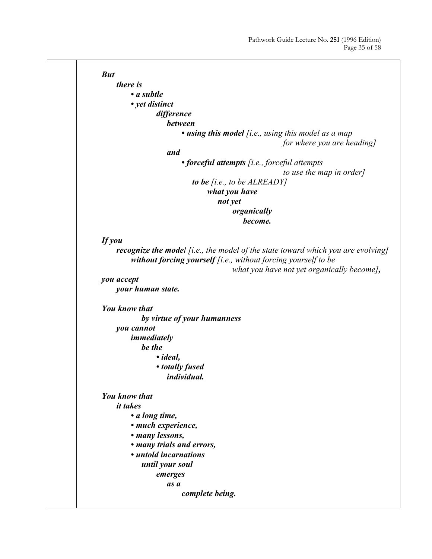![](_page_34_Figure_1.jpeg)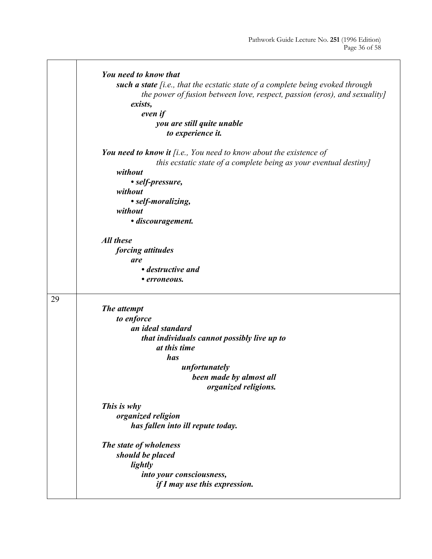|    | You need to know that<br>such a state [i.e., that the ecstatic state of a complete being evoked through<br>the power of fusion between love, respect, passion (eros), and sexuality]<br>exists,<br>even if<br>you are still quite unable<br>to experience it. |
|----|---------------------------------------------------------------------------------------------------------------------------------------------------------------------------------------------------------------------------------------------------------------|
|    | You need to know it $[i.e., You need to know about the existence of$<br>this ecstatic state of a complete being as your eventual destiny]<br>without                                                                                                          |
|    | • self-pressure,<br>without                                                                                                                                                                                                                                   |
|    | · self-moralizing,                                                                                                                                                                                                                                            |
|    | without                                                                                                                                                                                                                                                       |
|    | · discouragement.                                                                                                                                                                                                                                             |
|    | <b>All these</b>                                                                                                                                                                                                                                              |
|    | forcing attitudes                                                                                                                                                                                                                                             |
|    | are                                                                                                                                                                                                                                                           |
|    | • destructive and                                                                                                                                                                                                                                             |
|    | • erroneous.                                                                                                                                                                                                                                                  |
| 29 |                                                                                                                                                                                                                                                               |
|    | The attempt                                                                                                                                                                                                                                                   |
|    | to enforce                                                                                                                                                                                                                                                    |
|    | an ideal standard                                                                                                                                                                                                                                             |
|    | that individuals cannot possibly live up to                                                                                                                                                                                                                   |
|    | at this time                                                                                                                                                                                                                                                  |
|    | has                                                                                                                                                                                                                                                           |
|    | unfortunately                                                                                                                                                                                                                                                 |
|    | been made by almost all<br>organized religions.                                                                                                                                                                                                               |
|    | This is why                                                                                                                                                                                                                                                   |
|    | organized religion                                                                                                                                                                                                                                            |
|    | has fallen into ill repute today.                                                                                                                                                                                                                             |
|    | The state of wholeness                                                                                                                                                                                                                                        |
|    | should be placed                                                                                                                                                                                                                                              |
|    | lightly                                                                                                                                                                                                                                                       |
|    | into your consciousness,                                                                                                                                                                                                                                      |
|    | if I may use this expression.                                                                                                                                                                                                                                 |
|    |                                                                                                                                                                                                                                                               |

Τ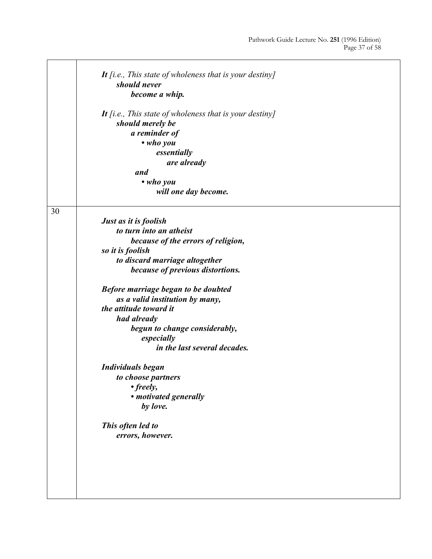|    | It [i.e., This state of wholeness that is your destiny] |
|----|---------------------------------------------------------|
|    | should never                                            |
|    | become a whip.                                          |
|    |                                                         |
|    | It [i.e., This state of wholeness that is your destiny] |
|    | should merely be                                        |
|    | a reminder of                                           |
|    | $\bullet$ who you                                       |
|    | essentially                                             |
|    | are already                                             |
|    | and                                                     |
|    | • who you                                               |
|    | will one day become.                                    |
|    |                                                         |
| 30 |                                                         |
|    | Just as it is foolish                                   |
|    | to turn into an atheist                                 |
|    | because of the errors of religion,                      |
|    | so it is foolish                                        |
|    | to discard marriage altogether                          |
|    | because of previous distortions.                        |
|    | Before marriage began to be doubted                     |
|    | as a valid institution by many,                         |
|    | the attitude toward it                                  |
|    | had already                                             |
|    | begun to change considerably,                           |
|    | especially                                              |
|    | in the last several decades.                            |
|    | <b>Individuals began</b>                                |
|    | to choose partners                                      |
|    | $\cdot$ freely,                                         |
|    | • motivated generally                                   |
|    | by love.                                                |
|    | This often led to                                       |
|    | errors, however.                                        |
|    |                                                         |
|    |                                                         |
|    |                                                         |
|    |                                                         |
|    |                                                         |
|    |                                                         |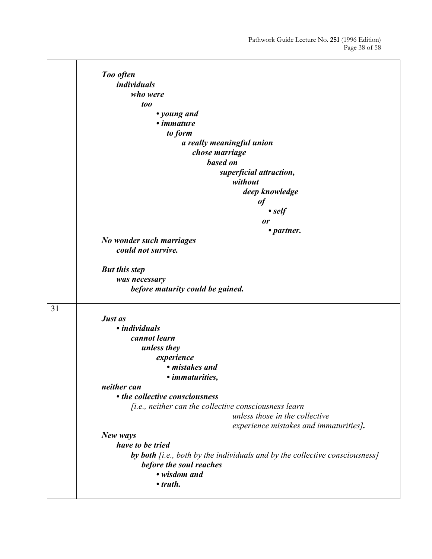|    | Too often                                                                   |
|----|-----------------------------------------------------------------------------|
|    | <i>individuals</i>                                                          |
|    | who were                                                                    |
|    | too                                                                         |
|    | • young and                                                                 |
|    | • <i>immature</i>                                                           |
|    | to form                                                                     |
|    | a really meaningful union                                                   |
|    | chose marriage                                                              |
|    | based on                                                                    |
|    | superficial attraction,                                                     |
|    | without                                                                     |
|    | deep knowledge                                                              |
|    | of                                                                          |
|    | $\bullet$ self                                                              |
|    |                                                                             |
|    | or<br>• partner.                                                            |
|    | No wonder such marriages                                                    |
|    | could not survive.                                                          |
|    |                                                                             |
|    | <b>But this step</b>                                                        |
|    | was necessary                                                               |
|    | before maturity could be gained.                                            |
|    |                                                                             |
| 31 |                                                                             |
|    | Just as                                                                     |
|    | • <i>individuals</i>                                                        |
|    | cannot learn                                                                |
|    | unless they                                                                 |
|    | experience                                                                  |
|    | • mistakes and                                                              |
|    | • <i>immaturities</i> .                                                     |
|    | neither can                                                                 |
|    | • the collective consciousness                                              |
|    | [i.e., neither can the collective consciousness learn                       |
|    | unless those in the collective                                              |
|    | experience mistakes and immaturities].                                      |
|    | New ways                                                                    |
|    | have to be tried                                                            |
|    | by both [i.e., both by the individuals and by the collective consciousness] |
|    | before the soul reaches                                                     |
|    | • wisdom and                                                                |
|    | $\cdot$ truth.                                                              |
|    |                                                                             |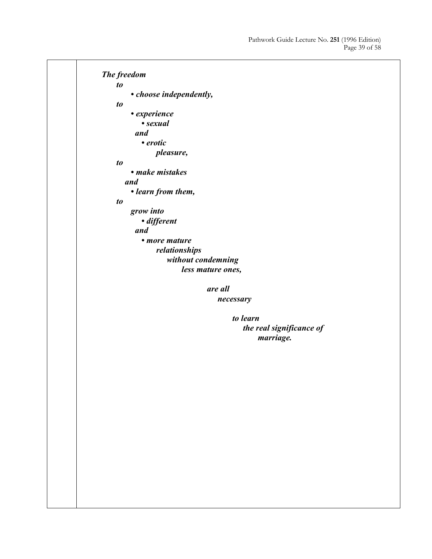*The freedom to • choose independently, to • experience • sexual and • erotic pleasure, to • make mistakes and • learn from them, to grow into • different and • more mature relationships without condemning less mature ones, are all necessary to learn the real significance of marriage.*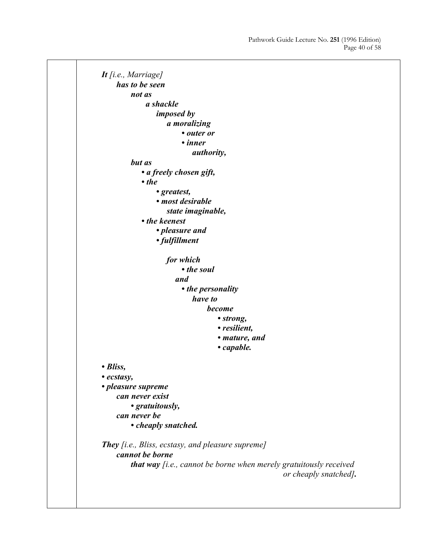*It [i.e., Marriage] has to be seen not as a shackle imposed by a moralizing • outer or • inner authority, but as • a freely chosen gift, • the • greatest, • most desirable state imaginable, • the keenest • pleasure and • fulfillment for which • the soul and • the personality have to become • strong, • resilient, • mature, and • capable. • Bliss, • ecstasy, • pleasure supreme can never exist • gratuitously, can never be • cheaply snatched. They [i.e., Bliss, ecstasy, and pleasure supreme] cannot be borne that way [i.e., cannot be borne when merely gratuitously received or cheaply snatched].*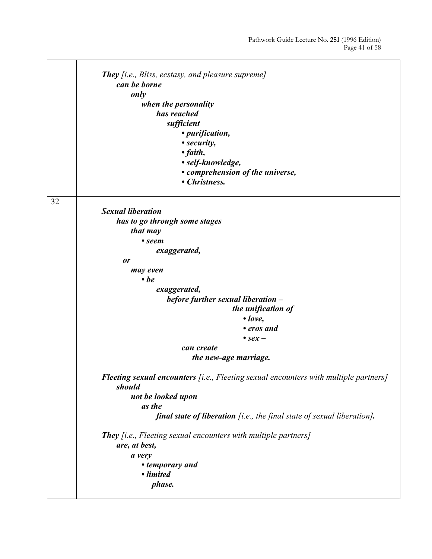|    | <b>They</b> [i.e., Bliss, ecstasy, and pleasure supreme]<br>can be borne<br>only<br>when the personality<br>has reached<br>sufficient<br>• purification,<br>• security,<br>$\bullet$ faith,<br>• self-knowledge,<br>• comprehension of the universe,<br>• Christness. |
|----|-----------------------------------------------------------------------------------------------------------------------------------------------------------------------------------------------------------------------------------------------------------------------|
| 32 | <b>Sexual liberation</b>                                                                                                                                                                                                                                              |
|    | has to go through some stages                                                                                                                                                                                                                                         |
|    | that may                                                                                                                                                                                                                                                              |
|    | • seem                                                                                                                                                                                                                                                                |
|    | exaggerated,                                                                                                                                                                                                                                                          |
|    | or                                                                                                                                                                                                                                                                    |
|    | may even                                                                                                                                                                                                                                                              |
|    | $\cdot$ be                                                                                                                                                                                                                                                            |
|    | exaggerated,<br>before further sexual liberation -                                                                                                                                                                                                                    |
|    | the unification of                                                                                                                                                                                                                                                    |
|    | $\bullet$ love,                                                                                                                                                                                                                                                       |
|    | • eros and                                                                                                                                                                                                                                                            |
|    | $\bullet$ sex –                                                                                                                                                                                                                                                       |
|    | can create                                                                                                                                                                                                                                                            |
|    | the new-age marriage.                                                                                                                                                                                                                                                 |
|    | <b>Fleeting sexual encounters</b> [i.e., Fleeting sexual encounters with multiple partners]<br>should                                                                                                                                                                 |
|    | not be looked upon                                                                                                                                                                                                                                                    |
|    | as the                                                                                                                                                                                                                                                                |
|    | final state of liberation [i.e., the final state of sexual liberation].                                                                                                                                                                                               |
|    | <b>They</b> [i.e., Fleeting sexual encounters with multiple partners]<br>are, at best,                                                                                                                                                                                |
|    | a very                                                                                                                                                                                                                                                                |
|    | • temporary and                                                                                                                                                                                                                                                       |
|    | • limited                                                                                                                                                                                                                                                             |
|    | phase.                                                                                                                                                                                                                                                                |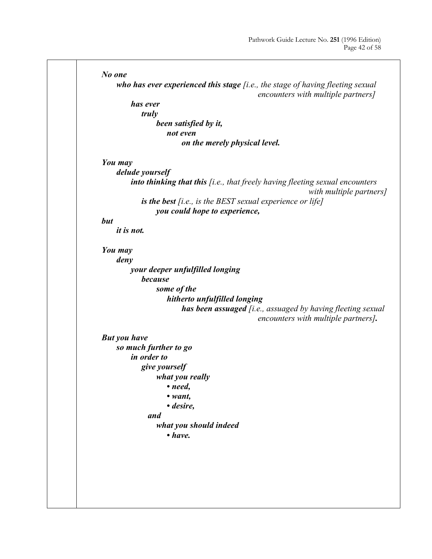![](_page_41_Figure_1.jpeg)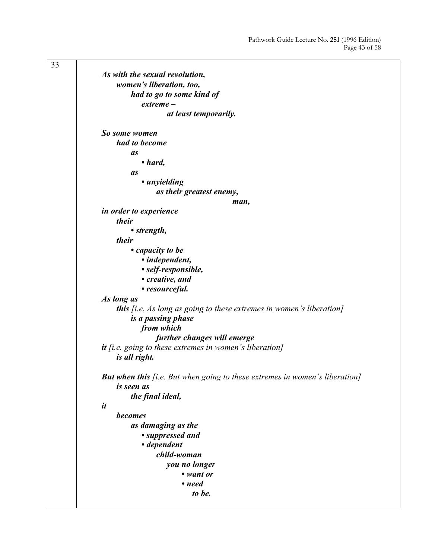| 33 |                                                                                    |
|----|------------------------------------------------------------------------------------|
|    | As with the sexual revolution,                                                     |
|    | women's liberation, too,                                                           |
|    | had to go to some kind of                                                          |
|    | $extreme -$                                                                        |
|    | at least temporarily.                                                              |
|    |                                                                                    |
|    | So some women                                                                      |
|    | had to become                                                                      |
|    | as                                                                                 |
|    | $\bullet$ hard,                                                                    |
|    | <b>as</b>                                                                          |
|    | • unyielding                                                                       |
|    | as their greatest enemy,                                                           |
|    | man,                                                                               |
|    | <i>in order to experience</i>                                                      |
|    | their                                                                              |
|    | • strength,                                                                        |
|    | their                                                                              |
|    | • capacity to be                                                                   |
|    | • independent,                                                                     |
|    | • self-responsible,                                                                |
|    | • creative, and                                                                    |
|    | • resourceful.                                                                     |
|    | As long as                                                                         |
|    | <b>this</b> [i.e. As long as going to these extremes in women's liberation]        |
|    | is a passing phase                                                                 |
|    | from which                                                                         |
|    | further changes will emerge                                                        |
|    | $it$ [i.e. going to these extremes in women's liberation]                          |
|    | is all right.                                                                      |
|    |                                                                                    |
|    | <b>But when this</b> [i.e. But when going to these extremes in women's liberation] |
|    | is seen as                                                                         |
|    | the final ideal,                                                                   |
|    | it                                                                                 |
|    | becomes                                                                            |
|    | as damaging as the                                                                 |
|    | • suppressed and                                                                   |
|    | • dependent                                                                        |
|    | child-woman                                                                        |
|    | you no longer                                                                      |
|    | • want or                                                                          |
|    | • need                                                                             |
|    | to be.                                                                             |
|    |                                                                                    |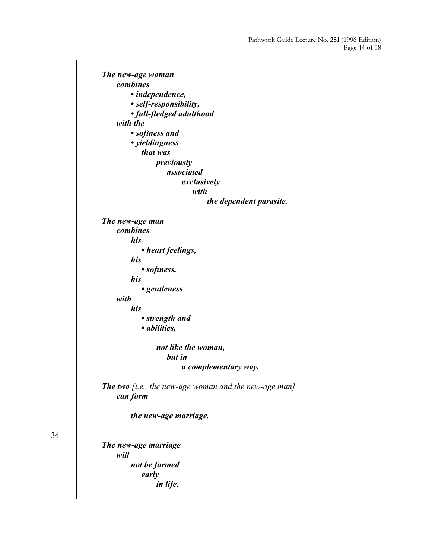![](_page_43_Figure_1.jpeg)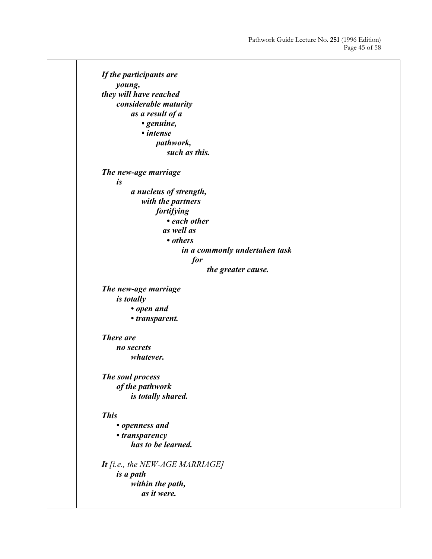*If the participants are young, they will have reached considerable maturity as a result of a • genuine, • intense pathwork, such as this. The new-age marriage is a nucleus of strength, with the partners fortifying • each other as well as • others in a commonly undertaken task for the greater cause. The new-age marriage is totally • open and • transparent. There are no secrets whatever. The soul process of the pathwork is totally shared. This • openness and • transparency has to be learned. It [i.e., the NEW-AGE MARRIAGE] is a path within the path, as it were.*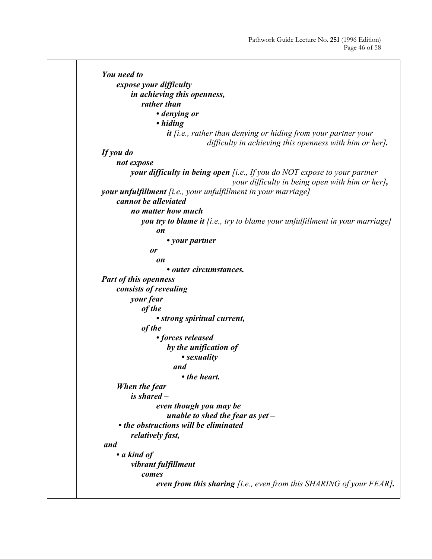```
You need to 
     expose your difficulty 
         in achieving this openness, 
             rather than 
                 • denying or 
                 • hiding 
                     it [i.e., rather than denying or hiding from your partner your 
                                 difficulty in achieving this openness with him or her]. 
If you do 
     not expose 
          your difficulty in being open [i.e., If you do NOT expose to your partner
                                         your difficulty in being open with him or her], 
your unfulfillment [i.e., your unfulfillment in your marriage]
     cannot be alleviated 
         no matter how much 
             you try to blame it [i.e., try to blame your unfulfillment in your marriage]
                 on 
                     • your partner 
                or 
                 on 
                     • outer circumstances. 
Part of this openness 
     consists of revealing 
         your fear 
             of the 
                 • strong spiritual current, 
             of the 
                 • forces released 
                     by the unification of 
                         • sexuality 
                       and 
                         • the heart. 
     When the fear 
          is shared –
                 even though you may be 
                     unable to shed the fear as yet –
      • the obstructions will be eliminated 
         relatively fast, 
and 
     • a kind of 
         vibrant fulfillment 
             comes 
                 even from this sharing [i.e., even from this SHARING of your FEAR].
```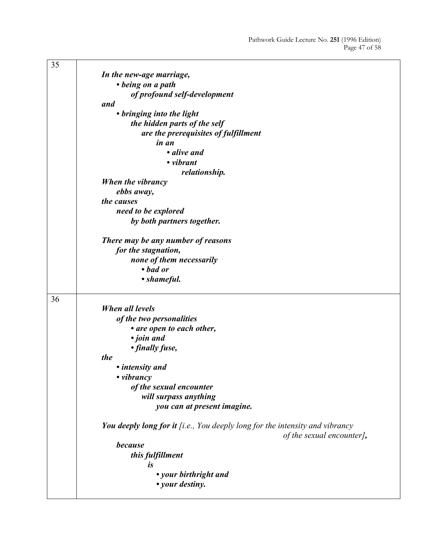| 35 |                                                                                                           |
|----|-----------------------------------------------------------------------------------------------------------|
|    | In the new-age marriage,                                                                                  |
|    | • being on a path                                                                                         |
|    | of profound self-development                                                                              |
|    | and                                                                                                       |
|    | • bringing into the light                                                                                 |
|    | the hidden parts of the self                                                                              |
|    | are the prerequisites of fulfillment                                                                      |
|    | in an                                                                                                     |
|    | • alive and                                                                                               |
|    | • vibrant                                                                                                 |
|    |                                                                                                           |
|    | relationship.                                                                                             |
|    | When the vibrancy                                                                                         |
|    | ebbs away,                                                                                                |
|    | the causes                                                                                                |
|    | need to be explored                                                                                       |
|    | by both partners together.                                                                                |
|    | There may be any number of reasons                                                                        |
|    | for the stagnation,                                                                                       |
|    | none of them necessarily                                                                                  |
|    | • bad or                                                                                                  |
|    | • shameful.                                                                                               |
| 36 |                                                                                                           |
|    | When all levels                                                                                           |
|    | of the two personalities                                                                                  |
|    | • are open to each other,                                                                                 |
|    | · join and                                                                                                |
|    | • finally fuse,                                                                                           |
|    | the                                                                                                       |
|    | • intensity and                                                                                           |
|    | • vibrancy                                                                                                |
|    |                                                                                                           |
|    | of the sexual encounter                                                                                   |
|    | will surpass anything                                                                                     |
|    | you can at present imagine.                                                                               |
|    | You deeply long for it [i.e., You deeply long for the intensity and vibrancy<br>of the sexual encounter], |
|    | because                                                                                                   |
|    |                                                                                                           |
|    | this fulfillment                                                                                          |
|    | is                                                                                                        |
|    | • your birthright and                                                                                     |
|    | • your destiny.                                                                                           |
|    |                                                                                                           |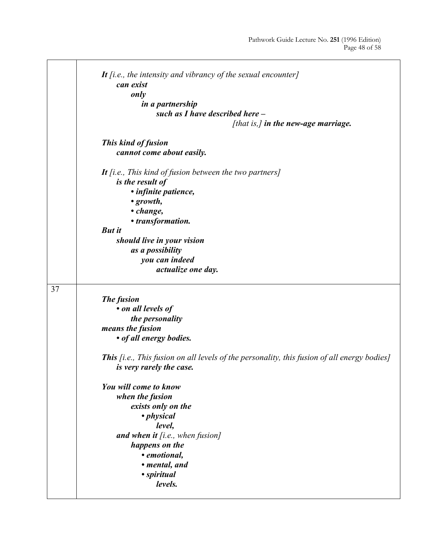|    | It $[i.e., the intensity and vibrating of the sexual encounter]$                                   |
|----|----------------------------------------------------------------------------------------------------|
|    | can exist                                                                                          |
|    | only                                                                                               |
|    | in a partnership                                                                                   |
|    | such as I have described here -                                                                    |
|    | [that is,] in the new-age marriage.                                                                |
|    |                                                                                                    |
|    |                                                                                                    |
|    | This kind of fusion                                                                                |
|    | cannot come about easily.                                                                          |
|    | It [i.e., This kind of fusion between the two partners]                                            |
|    | is the result of                                                                                   |
|    |                                                                                                    |
|    | · infinite patience,                                                                               |
|    | $\cdot$ growth,                                                                                    |
|    | • change,                                                                                          |
|    | • transformation.                                                                                  |
|    | <b>But it</b>                                                                                      |
|    | should live in your vision                                                                         |
|    | as a possibility                                                                                   |
|    | you can indeed                                                                                     |
|    | actualize one day.                                                                                 |
|    |                                                                                                    |
| 37 |                                                                                                    |
|    | The fusion                                                                                         |
|    | • on all levels of                                                                                 |
|    |                                                                                                    |
|    | the personality                                                                                    |
|    | means the fusion                                                                                   |
|    | • of all energy bodies.                                                                            |
|    |                                                                                                    |
|    | <b>This</b> [i.e., This fusion on all levels of the personality, this fusion of all energy bodies] |
|    | is very rarely the case.                                                                           |
|    |                                                                                                    |
|    |                                                                                                    |
|    | You will come to know                                                                              |
|    | when the fusion                                                                                    |
|    | exists only on the                                                                                 |
|    | • physical                                                                                         |
|    | level,                                                                                             |
|    | and when it $[i.e., when fusion]$                                                                  |
|    | happens on the                                                                                     |
|    | • emotional,                                                                                       |
|    |                                                                                                    |
|    | • mental, and                                                                                      |
|    | • spiritual<br>levels.                                                                             |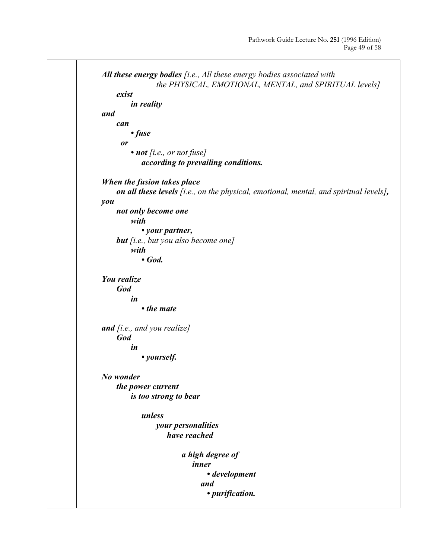![](_page_48_Figure_1.jpeg)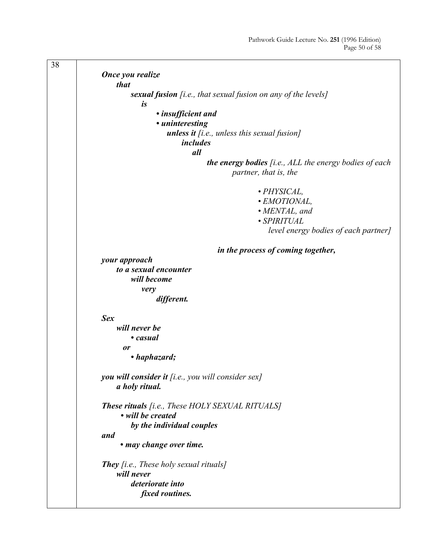![](_page_49_Figure_1.jpeg)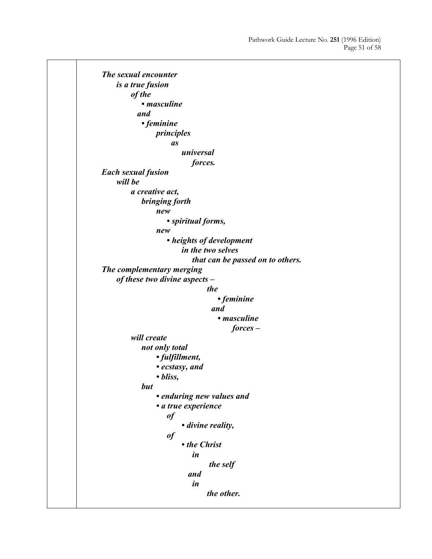*The sexual encounter is a true fusion of the • masculine and • feminine principles as universal forces. Each sexual fusion will be a creative act, bringing forth new • spiritual forms, new • heights of development in the two selves that can be passed on to others. The complementary merging of these two divine aspects – the • feminine and • masculine forces – will create not only total • fulfillment, • ecstasy, and • bliss, but • enduring new values and • a true experience of • divine reality, of • the Christ in the self and in the other.*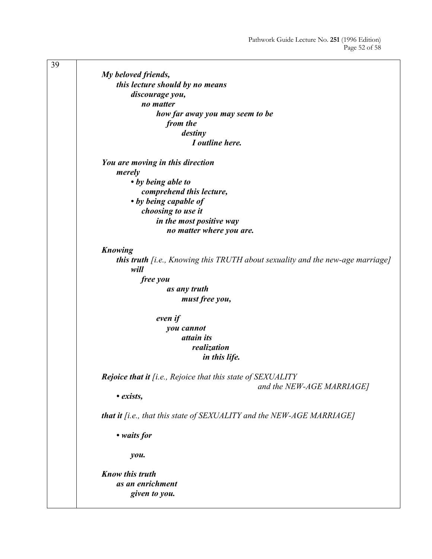39 *My beloved friends, this lecture should by no means discourage you, no matter how far away you may seem to be from the destiny I outline here. You are moving in this direction merely • by being able to comprehend this lecture, • by being capable of choosing to use it in the most positive way no matter where you are. Knowing this truth [i.e., Knowing this TRUTH about sexuality and the new-age marriage] will free you as any truth must free you, even if you cannot attain its realization in this life. Rejoice that it [i.e., Rejoice that this state of SEXUALITY and the NEW-AGE MARRIAGE] • exists, that it [i.e., that this state of SEXUALITY and the NEW-AGE MARRIAGE] • waits for you. Know this truth as an enrichment given to you.*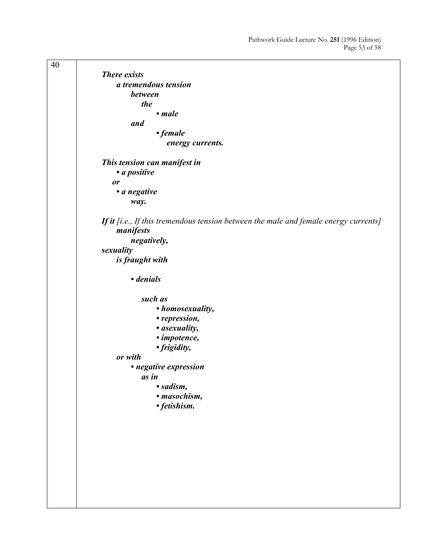40 *There exists a tremendous tension between the • male and • female energy currents. This tension can manifest in • a positive or • a negative way. If it [i.e., If this tremendous tension between the male and female energy currents] manifests negatively, sexuality is fraught with • denials such as • homosexuality, • repression, • asexuality, • impotence, • frigidity, or with • negative expression as in • sadism, • masochism, • fetishism.*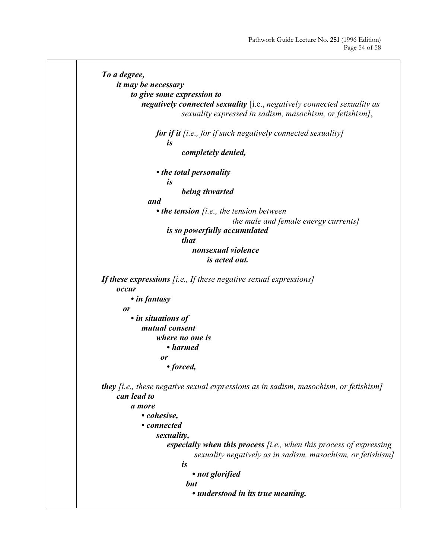```
To a degree, 
     it may be necessary 
         to give some expression to 
             negatively connected sexuality [i.e., negatively connected sexuality as 
                         sexuality expressed in sadism, masochism, or fetishism], 
                 for if it [i.e., for if such negatively connected sexuality] 
                     is 
                         completely denied, 
                 • the total personality 
                     is 
                         being thwarted 
               and 
                 • the tension [i.e., the tension between 
                                         the male and female energy currents]
                     is so powerfully accumulated 
                         that 
                             nonsexual violence 
                                 is acted out. 
If these expressions [i.e., If these negative sexual expressions]
     occur 
         • in fantasy 
       or 
         • in situations of 
             mutual consent 
                  where no one is 
                     • harmed 
                   or 
                     • forced, 
they [i.e., these negative sexual expressions as in sadism, masochism, or fetishism]
     can lead to 
         a more 
             • cohesive, 
             • connected 
                 sexuality, 
                     especially when this process [i.e., when this process of expressing 
                              sexuality negatively as in sadism, masochism, or fetishism]
                         is 
                             • not glorified 
                           but 
                             • understood in its true meaning.
```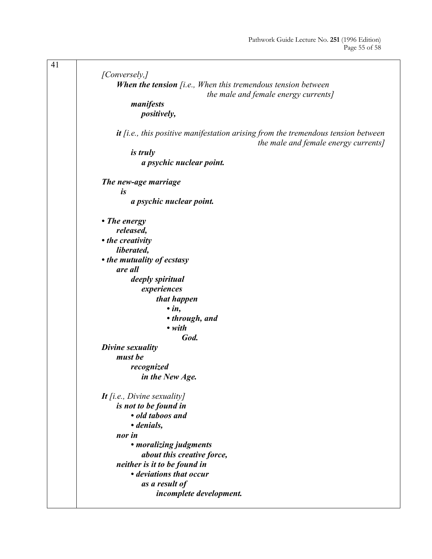| [Conversely,]                                                                       |
|-------------------------------------------------------------------------------------|
|                                                                                     |
| <b>When the tension</b> $[i.e., When this tremendous tension between$               |
| the male and female energy currents]                                                |
| manifests                                                                           |
| positively,                                                                         |
|                                                                                     |
| $it$ [i.e., this positive manifestation arising from the tremendous tension between |
| the male and female energy currents]                                                |
| <i>is truly</i>                                                                     |
| a psychic nuclear point.                                                            |
|                                                                                     |
| The new-age marriage                                                                |
| is                                                                                  |
| a psychic nuclear point.                                                            |
|                                                                                     |
|                                                                                     |
| • The energy                                                                        |
| released,                                                                           |
| • the creativity                                                                    |
| liberated,                                                                          |
| • the mutuality of ecstasy                                                          |
| are all                                                                             |
| deeply spiritual                                                                    |
| experiences                                                                         |
| that happen                                                                         |
| $\cdot$ in,                                                                         |
| • through, and                                                                      |
| $\bullet$ with                                                                      |
| God.                                                                                |
| Divine sexuality                                                                    |
| must be                                                                             |
|                                                                                     |
| recognized                                                                          |
| in the New Age.                                                                     |
|                                                                                     |
| It [i.e., Divine sexuality]                                                         |
| is not to be found in                                                               |
| · old taboos and                                                                    |
| • denials,                                                                          |
| nor in                                                                              |
| • moralizing judgments                                                              |
| about this creative force,                                                          |
| neither is it to be found in                                                        |
| • deviations that occur                                                             |
| as a result of                                                                      |
| incomplete development.                                                             |
|                                                                                     |
|                                                                                     |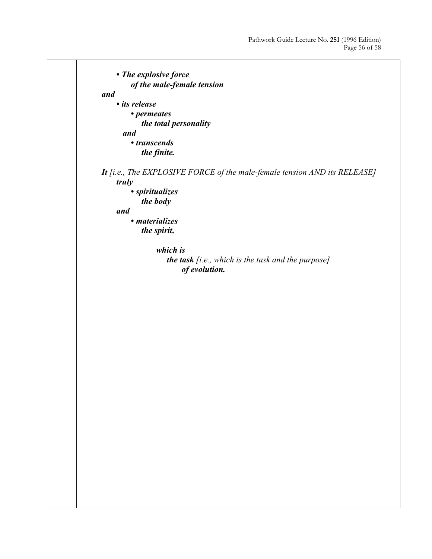```
 • The explosive force 
         of the male-female tension 
and 
     • its release 
         • permeates 
             the total personality 
       and 
         • transcends 
             the finite. 
It [i.e., The EXPLOSIVE FORCE of the male-female tension AND its RELEASE]
     truly 
         • spiritualizes 
             the body 
     and 
         • materializes 
             the spirit, 
                 which is 
                     the task [i.e., which is the task and the purpose] 
                          of evolution.
```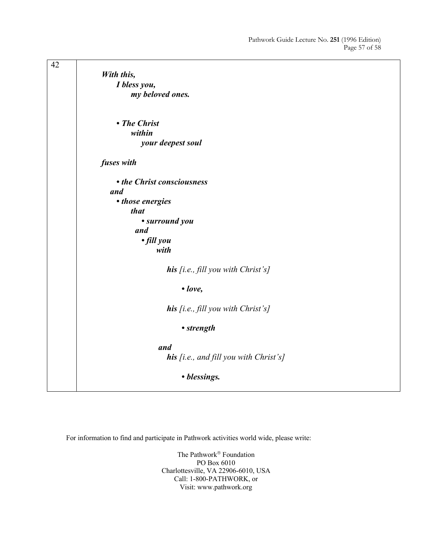| 42 |                                        |
|----|----------------------------------------|
|    | With this,                             |
|    | I bless you,                           |
|    | my beloved ones.                       |
|    |                                        |
|    |                                        |
|    | • The Christ                           |
|    | within                                 |
|    | your deepest soul                      |
|    |                                        |
|    | fuses with                             |
|    |                                        |
|    | • the Christ consciousness             |
|    | and                                    |
|    | • those energies                       |
|    | that                                   |
|    | • surround you                         |
|    | and                                    |
|    | · fill you                             |
|    | with                                   |
|    |                                        |
|    | his [i.e., fill you with Christ's]     |
|    |                                        |
|    | $\bullet$ love,                        |
|    |                                        |
|    | his [i.e., fill you with Christ's]     |
|    | • strength                             |
|    |                                        |
|    | and                                    |
|    | his [i.e., and fill you with Christ's] |
|    |                                        |
|    | • blessings.                           |
|    |                                        |
|    |                                        |

For information to find and participate in Pathwork activities world wide, please write:

The Pathwork<sup>®</sup> Foundation PO Box 6010 Charlottesville, VA 22906-6010, USA Call: 1-800-PATHWORK, or Visit: www.pathwork.org